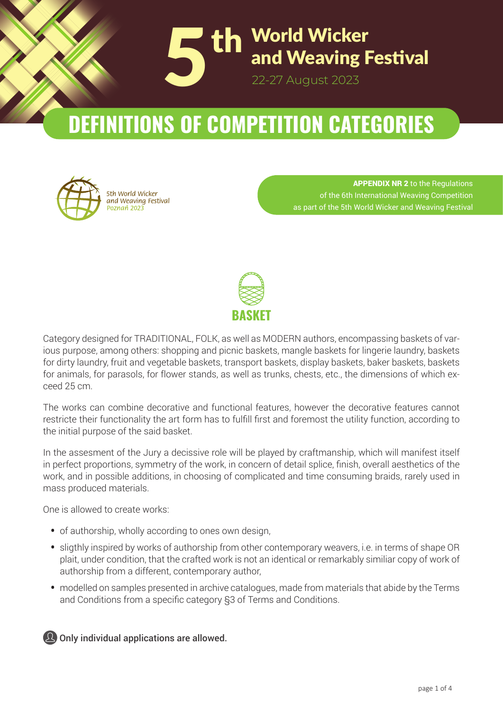

# **DEFINITIONS OF COMPETITION CATEGORIES**



APPENDIX NR 2 to the Regulations of the 6th International Weaving Competition as part of the 5th World Wicker and Weaving Festival



Category designed for TRADITIONAL, FOLK, as well as MODERN authors, encompassing baskets of various purpose, among others: shopping and picnic baskets, mangle baskets for lingerie laundry, baskets for dirty laundry, fruit and vegetable baskets, transport baskets, display baskets, baker baskets, baskets for animals, for parasols, for flower stands, as well as trunks, chests, etc., the dimensions of which exceed 25 cm.

The works can combine decorative and functional features, however the decorative features cannot restricte their functionality the art form has to fulfill first and foremost the utility function, according to the initial purpose of the said basket.

In the assesment of the Jury a decissive role will be played by craftmanship, which will manifest itself in perfect proportions, symmetry of the work, in concern of detail splice, finish, overall aesthetics of the work, and in possible additions, in choosing of complicated and time consuming braids, rarely used in mass produced materials.

One is allowed to create works:

- of authorship, wholly according to ones own design,
- sligthly inspired by works of authorship from other contemporary weavers, i.e. in terms of shape OR plait, under condition, that the crafted work is not an identical or remarkably similiar copy of work of authorship from a different, contemporary author,
- modelled on samples presented in archive catalogues, made from materials that abide by the Terms and Conditions from a specific category §3 of Terms and Conditions.

**The Polish Associa� on of Weavers and Wicker Workers**  $\mathbf{\Omega}$  Only individual applications are allowed.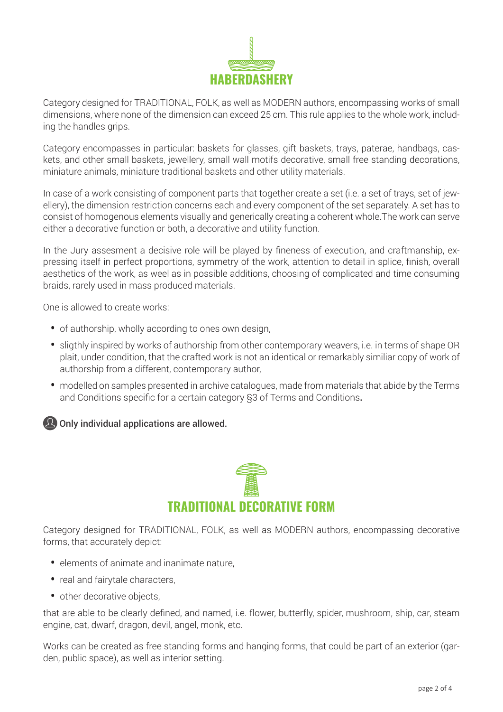

Category designed for TRADITIONAL, FOLK, as well as MODERN authors, encompassing works of small dimensions, where none of the dimension can exceed 25 cm. This rule applies to the whole work, including the handles grips.

Category encompasses in particular: baskets for glasses, gift baskets, trays, paterae, handbags, caskets, and other small baskets, jewellery, small wall motifs decorative, small free standing decorations, miniature animals, miniature traditional baskets and other utility materials.

In case of a work consisting of component parts that together create a set (i.e. a set of trays, set of jewellery), the dimension restriction concerns each and every component of the set separately. A set has to consist of homogenous elements visually and generically creating a coherent whole.The work can serve either a decorative function or both, a decorative and utility function.

In the Jury assesment a decisive role will be played by fineness of execution, and craftmanship, expressing itself in perfect proportions, symmetry of the work, attention to detail in splice, finish, overall aesthetics of the work, as weel as in possible additions, choosing of complicated and time consuming braids, rarely used in mass produced materials.

One is allowed to create works:

- of authorship, wholly according to ones own design,
- sligthly inspired by works of authorship from other contemporary weavers, i.e. in terms of shape OR plait, under condition, that the crafted work is not an identical or remarkably similiar copy of work of authorship from a different, contemporary author,
- modelled on samples presented in archive catalogues, made from materials that abide by the Terms and Conditions specific for a certain category §3 of Terms and Conditions**.**

**2** Only individual applications are allowed.



Category designed for TRADITIONAL, FOLK, as well as MODERN authors, encompassing decorative forms, that accurately depict:

- elements of animate and inanimate nature,
- real and fairytale characters,
- other decorative objects,

that are able to be clearly defined, and named, i.e. flower, butterfly, spider, mushroom, ship, car, steam engine, cat, dwarf, dragon, devil, angel, monk, etc.

Works can be created as free standing forms and hanging forms, that could be part of an exterior (garden, public space), as well as interior setting.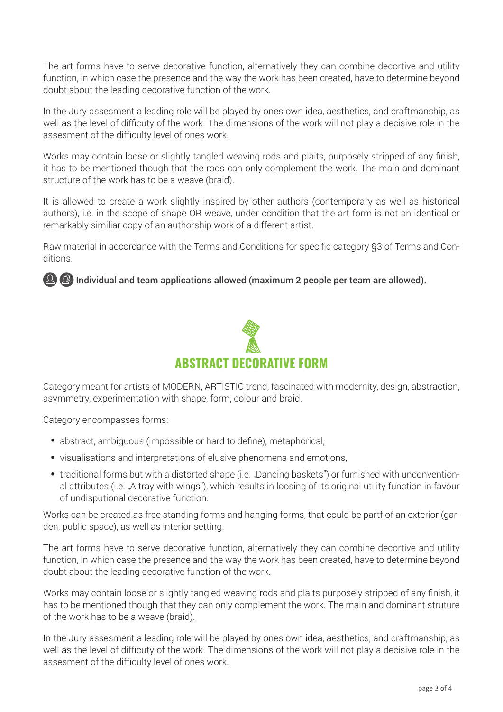The art forms have to serve decorative function, alternatively they can combine decortive and utility function, in which case the presence and the way the work has been created, have to determine beyond doubt about the leading decorative function of the work.

In the Jury assesment a leading role will be played by ones own idea, aesthetics, and craftmanship, as well as the level of difficuty of the work. The dimensions of the work will not play a decisive role in the assesment of the difficulty level of ones work.

Works may contain loose or slightly tangled weaving rods and plaits, purposely stripped of any finish, it has to be mentioned though that the rods can only complement the work. The main and dominant structure of the work has to be a weave (braid).

It is allowed to create a work slightly inspired by other authors (contemporary as well as historical authors), i.e. in the scope of shape OR weave, under condition that the art form is not an identical or remarkably similiar copy of an authorship work of a different artist.

Raw material in accordance with the Terms and Conditions for specific category §3 of Terms and Conditions.

## **2 2** Individual and team applications allowed (maximum 2 people per team are allowed).



Category meant for artists of MODERN, ARTISTIC trend, fascinated with modernity, design, abstraction, asymmetry, experimentation with shape, form, colour and braid.

Category encompasses forms:

- abstract, ambiguous (impossible or hard to define), metaphorical,
- visualisations and interpretations of elusive phenomena and emotions,
- traditional forms but with a distorted shape (i.e. "Dancing baskets") or furnished with unconventional attributes (i.e. "A tray with wings"), which results in loosing of its original utility function in favour of undisputional decorative function.

Works can be created as free standing forms and hanging forms, that could be partf of an exterior (garden, public space), as well as interior setting.

The art forms have to serve decorative function, alternatively they can combine decortive and utility function, in which case the presence and the way the work has been created, have to determine beyond doubt about the leading decorative function of the work.

Works may contain loose or slightly tangled weaving rods and plaits purposely stripped of any finish, it has to be mentioned though that they can only complement the work. The main and dominant struture of the work has to be a weave (braid).

In the Jury assesment a leading role will be played by ones own idea, aesthetics, and craftmanship, as well as the level of difficuty of the work. The dimensions of the work will not play a decisive role in the assesment of the difficulty level of ones work.